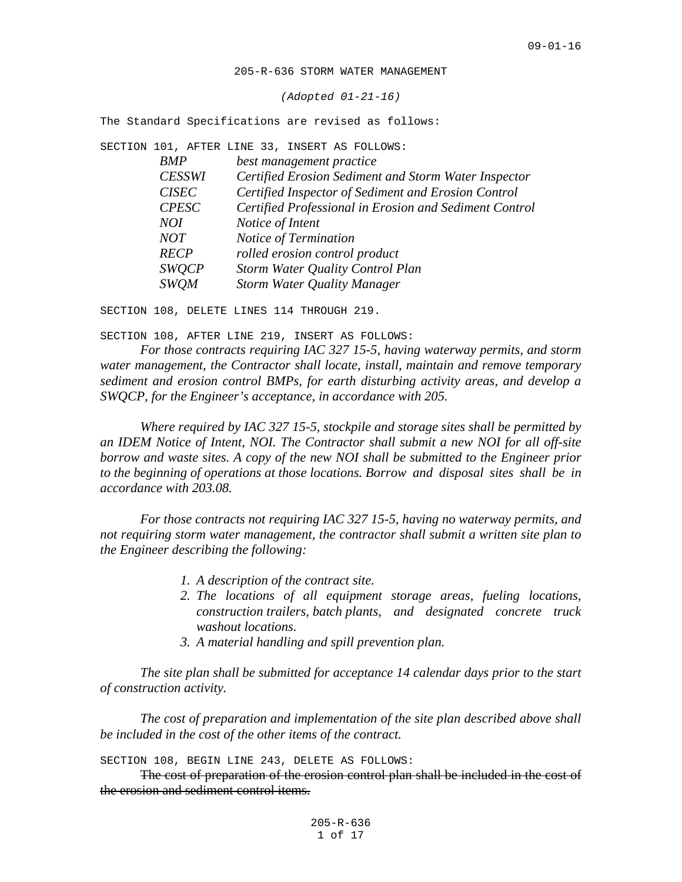205-R-636 STORM WATER MANAGEMENT

*(Adopted 01-21-16)*

The Standard Specifications are revised as follows:

|            |               | SECTION 101, AFTER LINE 33, INSERT AS FOLLOWS: |                                    |                                                        |  |
|------------|---------------|------------------------------------------------|------------------------------------|--------------------------------------------------------|--|
| <b>BMP</b> |               |                                                | best management practice           |                                                        |  |
|            | <b>CESSWI</b> |                                                |                                    | Certified Erosion Sediment and Storm Water Inspector   |  |
|            | <b>CISEC</b>  |                                                |                                    | Certified Inspector of Sediment and Erosion Control    |  |
|            | <b>CPESC</b>  |                                                |                                    | Certified Professional in Erosion and Sediment Control |  |
|            | NOI           | Notice of Intent                               |                                    |                                                        |  |
|            | NOT           |                                                | Notice of Termination              |                                                        |  |
|            | <b>RECP</b>   |                                                | rolled erosion control product     |                                                        |  |
|            | <b>SWOCP</b>  |                                                |                                    | Storm Water Quality Control Plan                       |  |
|            | <b>SWOM</b>   |                                                | <b>Storm Water Quality Manager</b> |                                                        |  |
|            |               |                                                |                                    |                                                        |  |

SECTION 108, DELETE LINES 114 THROUGH 219.

SECTION 108, AFTER LINE 219, INSERT AS FOLLOWS:

*For those contracts requiring IAC 327 15-5, having waterway permits, and storm water management, the Contractor shall locate, install, maintain and remove temporary sediment and erosion control BMPs, for earth disturbing activity areas, and develop a SWQCP, for the Engineer's acceptance, in accordance with 205.*

*Where required by IAC 327 15-5, stockpile and storage sites shall be permitted by an IDEM Notice of Intent, NOI. The Contractor shall submit a new NOI for all off-site borrow and waste sites. A copy of the new NOI shall be submitted to the Engineer prior to the beginning of operations at those locations. Borrow and disposal sites shall be in accordance with 203.08.*

*For those contracts not requiring IAC 327 15-5, having no waterway permits, and not requiring storm water management, the contractor shall submit a written site plan to the Engineer describing the following:*

- *1. A description of the contract site.*
- *2. The locations of all equipment storage areas, fueling locations, construction trailers, batch plants, and designated concrete truck washout locations.*
- *3. A material handling and spill prevention plan.*

*The site plan shall be submitted for acceptance 14 calendar days prior to the start of construction activity.*

*The cost of preparation and implementation of the site plan described above shall be included in the cost of the other items of the contract.*

SECTION 108, BEGIN LINE 243, DELETE AS FOLLOWS:

The cost of preparation of the erosion control plan shall be included in the cost of the erosion and sediment control items.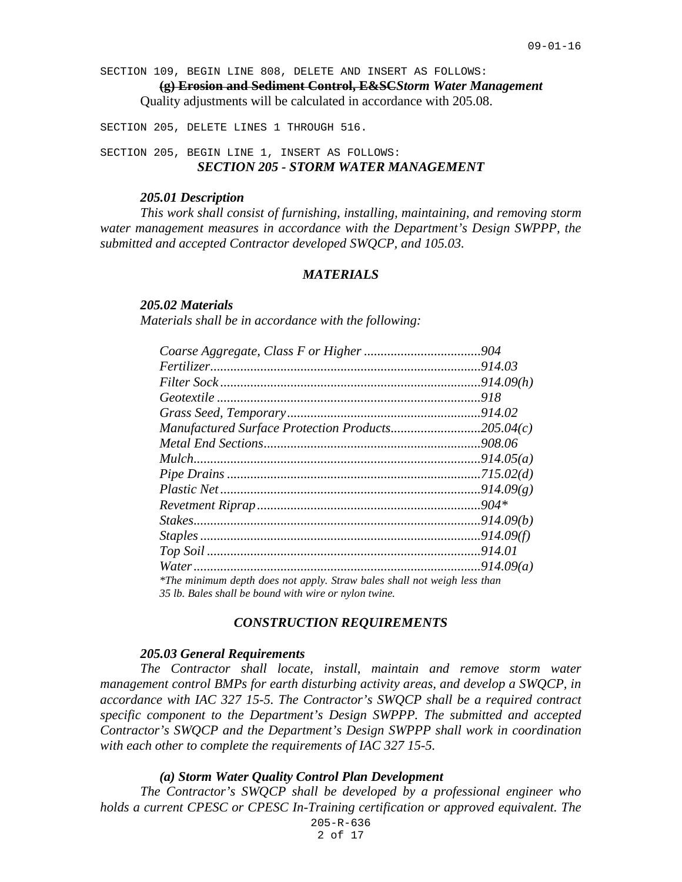SECTION 109, BEGIN LINE 808, DELETE AND INSERT AS FOLLOWS:

**(g) Erosion and Sediment Control, E&SC***Storm Water Management* Quality adjustments will be calculated in accordance with 205.08.

SECTION 205, DELETE LINES 1 THROUGH 516.

SECTION 205, BEGIN LINE 1, INSERT AS FOLLOWS: *SECTION 205 - STORM WATER MANAGEMENT*

## *205.01 Description*

*This work shall consist of furnishing, installing, maintaining, and removing storm water management measures in accordance with the Department's Design SWPPP, the submitted and accepted Contractor developed SWQCP, and 105.03.*

## *MATERIALS*

#### *205.02 Materials*

*Materials shall be in accordance with the following:*

| Manufactured Surface Protection Products205.04 $(c)$                     |  |
|--------------------------------------------------------------------------|--|
|                                                                          |  |
|                                                                          |  |
|                                                                          |  |
|                                                                          |  |
|                                                                          |  |
|                                                                          |  |
|                                                                          |  |
|                                                                          |  |
|                                                                          |  |
| *The minimum depth does not apply. Straw bales shall not weigh less than |  |
| 35 lb. Bales shall be bound with wire or nylon twine.                    |  |

### *CONSTRUCTION REQUIREMENTS*

#### *205.03 General Requirements*

*The Contractor shall locate, install, maintain and remove storm water management control BMPs for earth disturbing activity areas, and develop a SWQCP, in accordance with IAC 327 15-5. The Contractor's SWQCP shall be a required contract specific component to the Department's Design SWPPP. The submitted and accepted Contractor's SWQCP and the Department's Design SWPPP shall work in coordination with each other to complete the requirements of IAC 327 15-5.*

#### *(a) Storm Water Quality Control Plan Development*

205-R-636 *The Contractor's SWQCP shall be developed by a professional engineer who holds a current CPESC or CPESC In-Training certification or approved equivalent. The*

2 of 17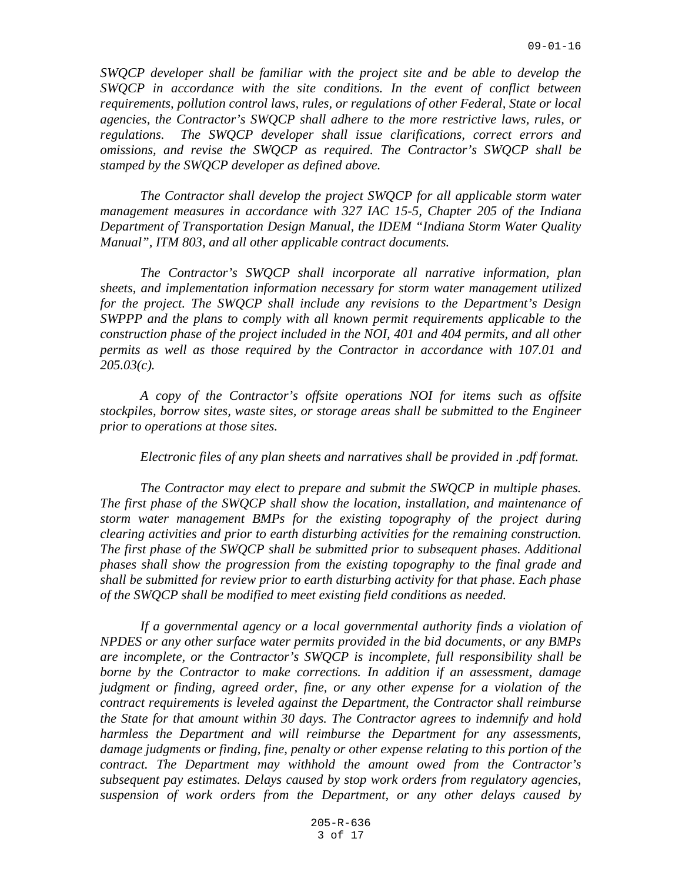*SWQCP developer shall be familiar with the project site and be able to develop the SWQCP in accordance with the site conditions. In the event of conflict between requirements, pollution control laws, rules, or regulations of other Federal, State or local agencies, the Contractor's SWQCP shall adhere to the more restrictive laws, rules, or regulations. The SWQCP developer shall issue clarifications, correct errors and omissions, and revise the SWQCP as required. The Contractor's SWQCP shall be stamped by the SWQCP developer as defined above.*

*The Contractor shall develop the project SWQCP for all applicable storm water management measures in accordance with 327 IAC 15-5, Chapter 205 of the Indiana Department of Transportation Design Manual, the IDEM "Indiana Storm Water Quality Manual", ITM 803, and all other applicable contract documents.* 

*The Contractor's SWQCP shall incorporate all narrative information, plan sheets, and implementation information necessary for storm water management utilized for the project. The SWQCP shall include any revisions to the Department's Design SWPPP and the plans to comply with all known permit requirements applicable to the construction phase of the project included in the NOI, 401 and 404 permits, and all other permits as well as those required by the Contractor in accordance with 107.01 and 205.03(c).*

*A copy of the Contractor's offsite operations NOI for items such as offsite stockpiles, borrow sites, waste sites, or storage areas shall be submitted to the Engineer prior to operations at those sites.*

*Electronic files of any plan sheets and narratives shall be provided in .pdf format.*

*The Contractor may elect to prepare and submit the SWQCP in multiple phases. The first phase of the SWQCP shall show the location, installation, and maintenance of storm water management BMPs for the existing topography of the project during clearing activities and prior to earth disturbing activities for the remaining construction. The first phase of the SWQCP shall be submitted prior to subsequent phases. Additional phases shall show the progression from the existing topography to the final grade and shall be submitted for review prior to earth disturbing activity for that phase. Each phase of the SWQCP shall be modified to meet existing field conditions as needed.*

If a governmental agency or a local governmental authority finds a violation of *NPDES or any other surface water permits provided in the bid documents, or any BMPs are incomplete, or the Contractor's SWQCP is incomplete, full responsibility shall be borne by the Contractor to make corrections. In addition if an assessment, damage judgment or finding, agreed order, fine, or any other expense for a violation of the contract requirements is leveled against the Department, the Contractor shall reimburse the State for that amount within 30 days. The Contractor agrees to indemnify and hold harmless the Department and will reimburse the Department for any assessments, damage judgments or finding, fine, penalty or other expense relating to this portion of the contract. The Department may withhold the amount owed from the Contractor's subsequent pay estimates. Delays caused by stop work orders from regulatory agencies, suspension of work orders from the Department, or any other delays caused by*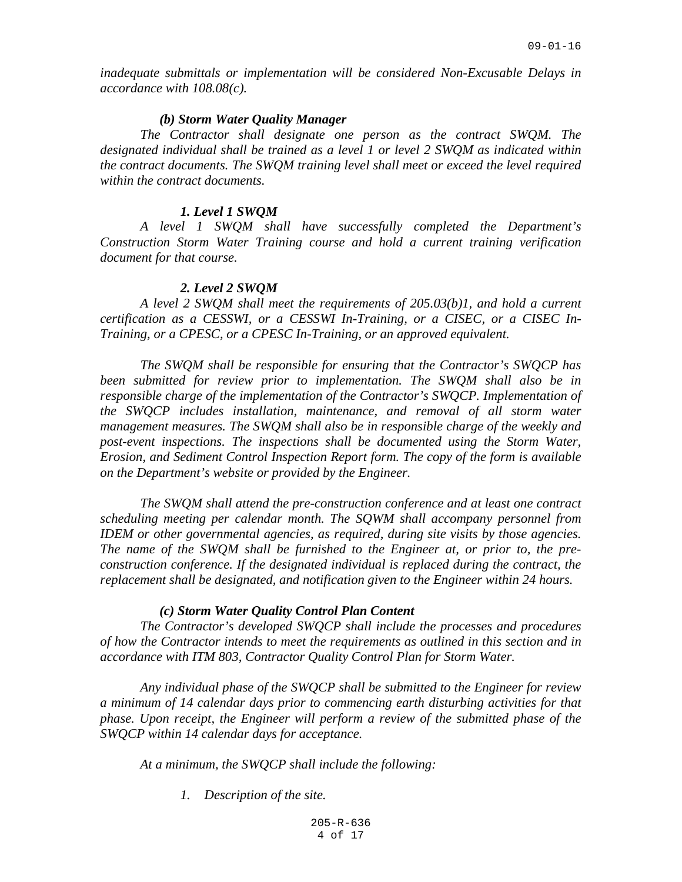*inadequate submittals or implementation will be considered Non-Excusable Delays in accordance with 108.08(c).*

## *(b) Storm Water Quality Manager*

*The Contractor shall designate one person as the contract SWQM. The designated individual shall be trained as a level 1 or level 2 SWQM as indicated within the contract documents. The SWQM training level shall meet or exceed the level required within the contract documents.*

#### *1. Level 1 SWQM*

*A level 1 SWQM shall have successfully completed the Department's Construction Storm Water Training course and hold a current training verification document for that course.*

### *2. Level 2 SWQM*

*A level 2 SWQM shall meet the requirements of 205.03(b)1, and hold a current certification as a CESSWI, or a CESSWI In-Training, or a CISEC, or a CISEC In-Training, or a CPESC, or a CPESC In-Training, or an approved equivalent.*

*The SWQM shall be responsible for ensuring that the Contractor's SWQCP has been submitted for review prior to implementation. The SWQM shall also be in responsible charge of the implementation of the Contractor's SWQCP. Implementation of the SWQCP includes installation, maintenance, and removal of all storm water management measures. The SWQM shall also be in responsible charge of the weekly and post-event inspections. The inspections shall be documented using the Storm Water, Erosion, and Sediment Control Inspection Report form. The copy of the form is available on the Department's website or provided by the Engineer.*

*The SWQM shall attend the pre-construction conference and at least one contract scheduling meeting per calendar month. The SQWM shall accompany personnel from IDEM or other governmental agencies, as required, during site visits by those agencies. The name of the SWQM shall be furnished to the Engineer at, or prior to, the preconstruction conference. If the designated individual is replaced during the contract, the replacement shall be designated, and notification given to the Engineer within 24 hours.*

#### *(c) Storm Water Quality Control Plan Content*

*The Contractor's developed SWQCP shall include the processes and procedures of how the Contractor intends to meet the requirements as outlined in this section and in accordance with ITM 803, Contractor Quality Control Plan for Storm Water.*

*Any individual phase of the SWQCP shall be submitted to the Engineer for review a minimum of 14 calendar days prior to commencing earth disturbing activities for that phase. Upon receipt, the Engineer will perform a review of the submitted phase of the SWQCP within 14 calendar days for acceptance.*

*At a minimum, the SWQCP shall include the following:*

*1. Description of the site.*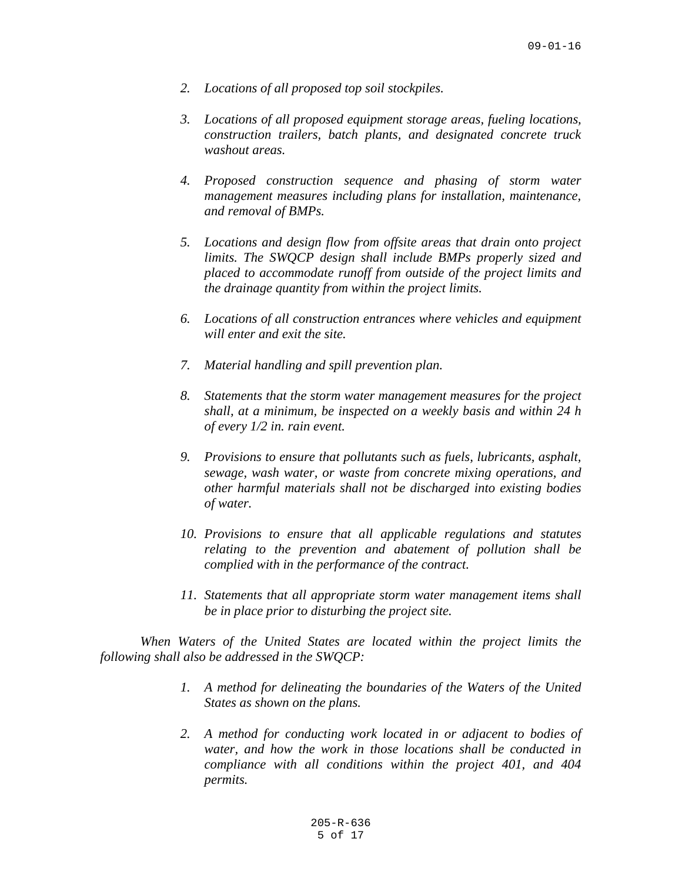- *2. Locations of all proposed top soil stockpiles.*
- *3. Locations of all proposed equipment storage areas, fueling locations, construction trailers, batch plants, and designated concrete truck washout areas.*
- *4. Proposed construction sequence and phasing of storm water management measures including plans for installation, maintenance, and removal of BMPs.*
- *5. Locations and design flow from offsite areas that drain onto project limits. The SWQCP design shall include BMPs properly sized and placed to accommodate runoff from outside of the project limits and the drainage quantity from within the project limits.*
- *6. Locations of all construction entrances where vehicles and equipment will enter and exit the site.*
- *7. Material handling and spill prevention plan.*
- *8. Statements that the storm water management measures for the project shall, at a minimum, be inspected on a weekly basis and within 24 h of every 1/2 in. rain event.*
- *9. Provisions to ensure that pollutants such as fuels, lubricants, asphalt, sewage, wash water, or waste from concrete mixing operations, and other harmful materials shall not be discharged into existing bodies of water.*
- *10. Provisions to ensure that all applicable regulations and statutes relating to the prevention and abatement of pollution shall be complied with in the performance of the contract.*
- *11. Statements that all appropriate storm water management items shall be in place prior to disturbing the project site.*

*When Waters of the United States are located within the project limits the following shall also be addressed in the SWQCP:*

- *1. A method for delineating the boundaries of the Waters of the United States as shown on the plans.*
- *2. A method for conducting work located in or adjacent to bodies of water, and how the work in those locations shall be conducted in compliance with all conditions within the project 401, and 404 permits.*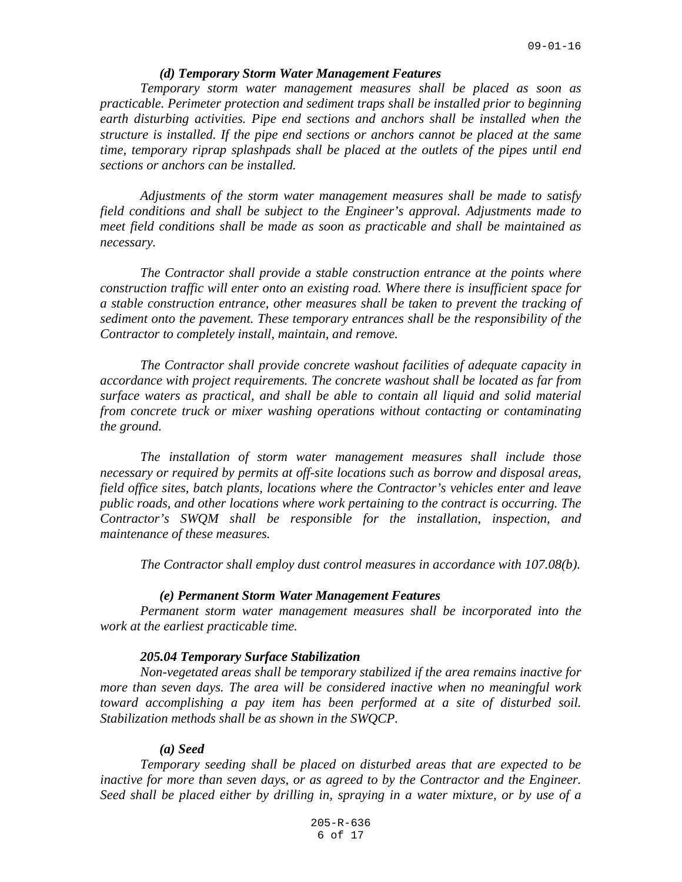### *(d) Temporary Storm Water Management Features*

*Temporary storm water management measures shall be placed as soon as practicable. Perimeter protection and sediment traps shall be installed prior to beginning earth disturbing activities. Pipe end sections and anchors shall be installed when the structure is installed. If the pipe end sections or anchors cannot be placed at the same time, temporary riprap splashpads shall be placed at the outlets of the pipes until end sections or anchors can be installed.*

*Adjustments of the storm water management measures shall be made to satisfy field conditions and shall be subject to the Engineer's approval. Adjustments made to meet field conditions shall be made as soon as practicable and shall be maintained as necessary.*

*The Contractor shall provide a stable construction entrance at the points where construction traffic will enter onto an existing road. Where there is insufficient space for a stable construction entrance, other measures shall be taken to prevent the tracking of sediment onto the pavement. These temporary entrances shall be the responsibility of the Contractor to completely install, maintain, and remove.*

*The Contractor shall provide concrete washout facilities of adequate capacity in accordance with project requirements. The concrete washout shall be located as far from surface waters as practical, and shall be able to contain all liquid and solid material from concrete truck or mixer washing operations without contacting or contaminating the ground.*

*The installation of storm water management measures shall include those necessary or required by permits at off-site locations such as borrow and disposal areas, field office sites, batch plants, locations where the Contractor's vehicles enter and leave public roads, and other locations where work pertaining to the contract is occurring. The Contractor's SWQM shall be responsible for the installation, inspection, and maintenance of these measures.*

*The Contractor shall employ dust control measures in accordance with 107.08(b).*

### *(e) Permanent Storm Water Management Features*

*Permanent storm water management measures shall be incorporated into the work at the earliest practicable time.*

## *205.04 Temporary Surface Stabilization*

*Non-vegetated areas shall be temporary stabilized if the area remains inactive for more than seven days. The area will be considered inactive when no meaningful work toward accomplishing a pay item has been performed at a site of disturbed soil. Stabilization methods shall be as shown in the SWQCP.*

#### *(a) Seed*

*Temporary seeding shall be placed on disturbed areas that are expected to be inactive for more than seven days, or as agreed to by the Contractor and the Engineer. Seed shall be placed either by drilling in, spraying in a water mixture, or by use of a*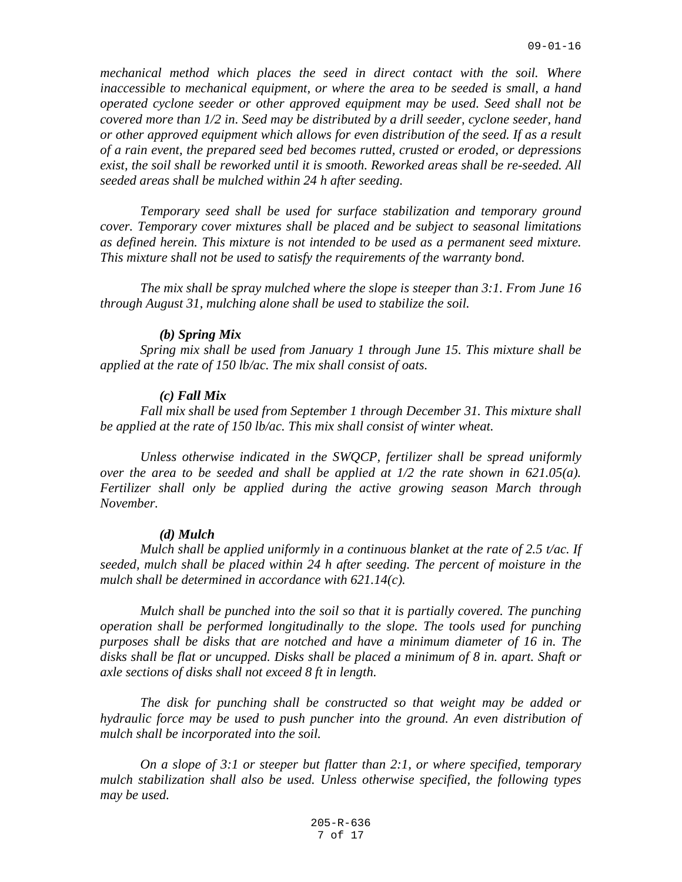*mechanical method which places the seed in direct contact with the soil. Where inaccessible to mechanical equipment, or where the area to be seeded is small, a hand operated cyclone seeder or other approved equipment may be used. Seed shall not be covered more than 1/2 in. Seed may be distributed by a drill seeder, cyclone seeder, hand or other approved equipment which allows for even distribution of the seed. If as a result of a rain event, the prepared seed bed becomes rutted, crusted or eroded, or depressions exist, the soil shall be reworked until it is smooth. Reworked areas shall be re-seeded. All seeded areas shall be mulched within 24 h after seeding.*

*Temporary seed shall be used for surface stabilization and temporary ground cover. Temporary cover mixtures shall be placed and be subject to seasonal limitations as defined herein. This mixture is not intended to be used as a permanent seed mixture. This mixture shall not be used to satisfy the requirements of the warranty bond.*

*The mix shall be spray mulched where the slope is steeper than 3:1. From June 16 through August 31, mulching alone shall be used to stabilize the soil.*

#### *(b) Spring Mix*

*Spring mix shall be used from January 1 through June 15. This mixture shall be applied at the rate of 150 lb/ac. The mix shall consist of oats.*

#### *(c) Fall Mix*

*Fall mix shall be used from September 1 through December 31. This mixture shall be applied at the rate of 150 lb/ac. This mix shall consist of winter wheat.*

*Unless otherwise indicated in the SWQCP, fertilizer shall be spread uniformly over the area to be seeded and shall be applied at 1/2 the rate shown in 621.05(a). Fertilizer shall only be applied during the active growing season March through November.*

# *(d) Mulch*

*Mulch shall be applied uniformly in a continuous blanket at the rate of 2.5 t/ac. If seeded, mulch shall be placed within 24 h after seeding. The percent of moisture in the mulch shall be determined in accordance with 621.14(c).*

*Mulch shall be punched into the soil so that it is partially covered. The punching operation shall be performed longitudinally to the slope. The tools used for punching purposes shall be disks that are notched and have a minimum diameter of 16 in. The disks shall be flat or uncupped. Disks shall be placed a minimum of 8 in. apart. Shaft or axle sections of disks shall not exceed 8 ft in length.*

*The disk for punching shall be constructed so that weight may be added or hydraulic force may be used to push puncher into the ground. An even distribution of mulch shall be incorporated into the soil.*

*On a slope of 3:1 or steeper but flatter than 2:1, or where specified, temporary mulch stabilization shall also be used. Unless otherwise specified, the following types may be used.*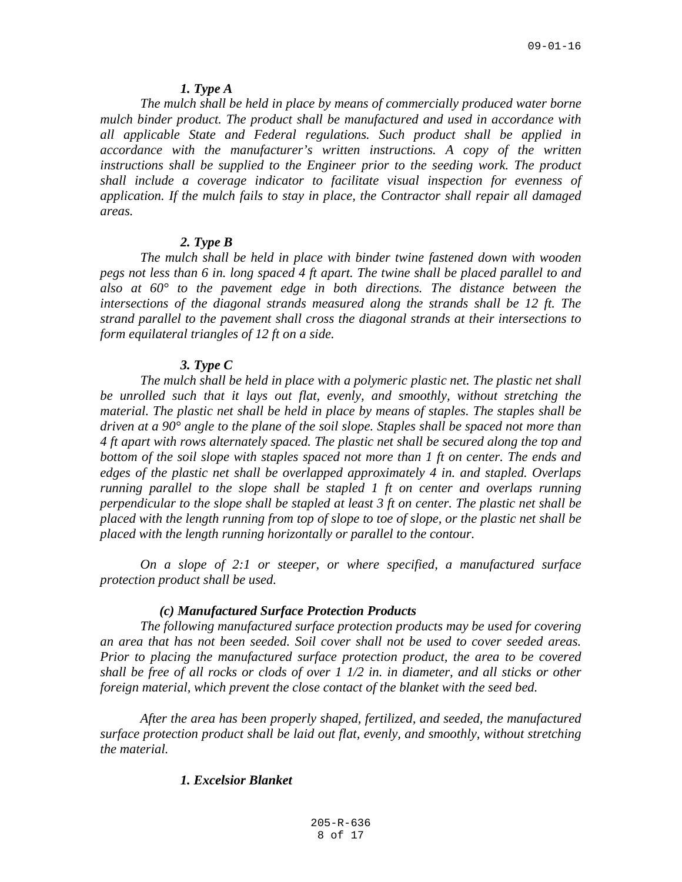### *1. Type A*

*The mulch shall be held in place by means of commercially produced water borne mulch binder product. The product shall be manufactured and used in accordance with all applicable State and Federal regulations. Such product shall be applied in accordance with the manufacturer's written instructions. A copy of the written*  instructions shall be supplied to the Engineer prior to the seeding work. The product *shall include a coverage indicator to facilitate visual inspection for evenness of application. If the mulch fails to stay in place, the Contractor shall repair all damaged areas.*

# *2. Type B*

*The mulch shall be held in place with binder twine fastened down with wooden pegs not less than 6 in. long spaced 4 ft apart. The twine shall be placed parallel to and*  also at  $60^{\circ}$  to the pavement edge in both directions. The distance between the *intersections of the diagonal strands measured along the strands shall be 12 ft. The strand parallel to the pavement shall cross the diagonal strands at their intersections to form equilateral triangles of 12 ft on a side.*

# *3. Type C*

*The mulch shall be held in place with a polymeric plastic net. The plastic net shall be unrolled such that it lays out flat, evenly, and smoothly, without stretching the material. The plastic net shall be held in place by means of staples. The staples shall be driven at a 90° angle to the plane of the soil slope. Staples shall be spaced not more than 4 ft apart with rows alternately spaced. The plastic net shall be secured along the top and bottom of the soil slope with staples spaced not more than 1 ft on center. The ends and edges of the plastic net shall be overlapped approximately 4 in. and stapled. Overlaps running parallel to the slope shall be stapled 1 ft on center and overlaps running perpendicular to the slope shall be stapled at least 3 ft on center. The plastic net shall be placed with the length running from top of slope to toe of slope, or the plastic net shall be placed with the length running horizontally or parallel to the contour.*

*On a slope of 2:1 or steeper, or where specified, a manufactured surface protection product shall be used.*

#### *(c) Manufactured Surface Protection Products*

*The following manufactured surface protection products may be used for covering an area that has not been seeded. Soil cover shall not be used to cover seeded areas. Prior to placing the manufactured surface protection product, the area to be covered shall be free of all rocks or clods of over 1 1/2 in. in diameter, and all sticks or other foreign material, which prevent the close contact of the blanket with the seed bed.*

*After the area has been properly shaped, fertilized, and seeded, the manufactured surface protection product shall be laid out flat, evenly, and smoothly, without stretching the material.*

# *1. Excelsior Blanket*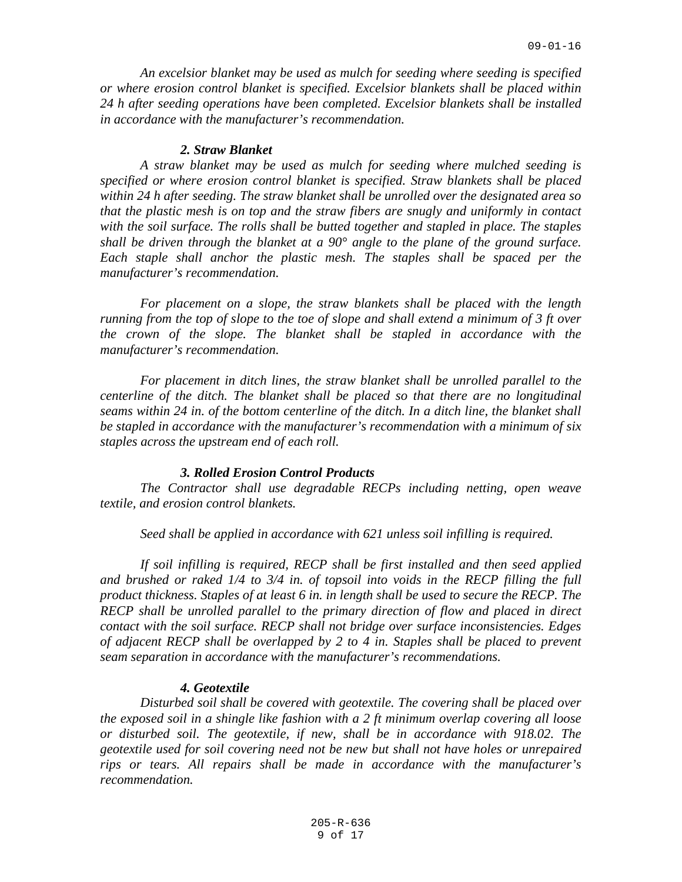*An excelsior blanket may be used as mulch for seeding where seeding is specified or where erosion control blanket is specified. Excelsior blankets shall be placed within 24 h after seeding operations have been completed. Excelsior blankets shall be installed in accordance with the manufacturer's recommendation.*

## *2. Straw Blanket*

*A straw blanket may be used as mulch for seeding where mulched seeding is specified or where erosion control blanket is specified. Straw blankets shall be placed within 24 h after seeding. The straw blanket shall be unrolled over the designated area so that the plastic mesh is on top and the straw fibers are snugly and uniformly in contact with the soil surface. The rolls shall be butted together and stapled in place. The staples shall be driven through the blanket at a 90° angle to the plane of the ground surface.*  Each staple shall anchor the plastic mesh. The staples shall be spaced per the *manufacturer's recommendation.*

*For placement on a slope, the straw blankets shall be placed with the length running from the top of slope to the toe of slope and shall extend a minimum of 3 ft over the crown of the slope. The blanket shall be stapled in accordance with the manufacturer's recommendation.*

*For placement in ditch lines, the straw blanket shall be unrolled parallel to the centerline of the ditch. The blanket shall be placed so that there are no longitudinal seams within 24 in. of the bottom centerline of the ditch. In a ditch line, the blanket shall be stapled in accordance with the manufacturer's recommendation with a minimum of six staples across the upstream end of each roll.*

#### *3. Rolled Erosion Control Products*

*The Contractor shall use degradable RECPs including netting, open weave textile, and erosion control blankets.*

*Seed shall be applied in accordance with 621 unless soil infilling is required.*

*If soil infilling is required, RECP shall be first installed and then seed applied and brushed or raked 1/4 to 3/4 in. of topsoil into voids in the RECP filling the full product thickness. Staples of at least 6 in. in length shall be used to secure the RECP. The RECP shall be unrolled parallel to the primary direction of flow and placed in direct contact with the soil surface. RECP shall not bridge over surface inconsistencies. Edges of adjacent RECP shall be overlapped by 2 to 4 in. Staples shall be placed to prevent seam separation in accordance with the manufacturer's recommendations.*

### *4. Geotextile*

*Disturbed soil shall be covered with geotextile. The covering shall be placed over the exposed soil in a shingle like fashion with a 2 ft minimum overlap covering all loose or disturbed soil. The geotextile, if new, shall be in accordance with 918.02. The geotextile used for soil covering need not be new but shall not have holes or unrepaired rips or tears. All repairs shall be made in accordance with the manufacturer's recommendation.*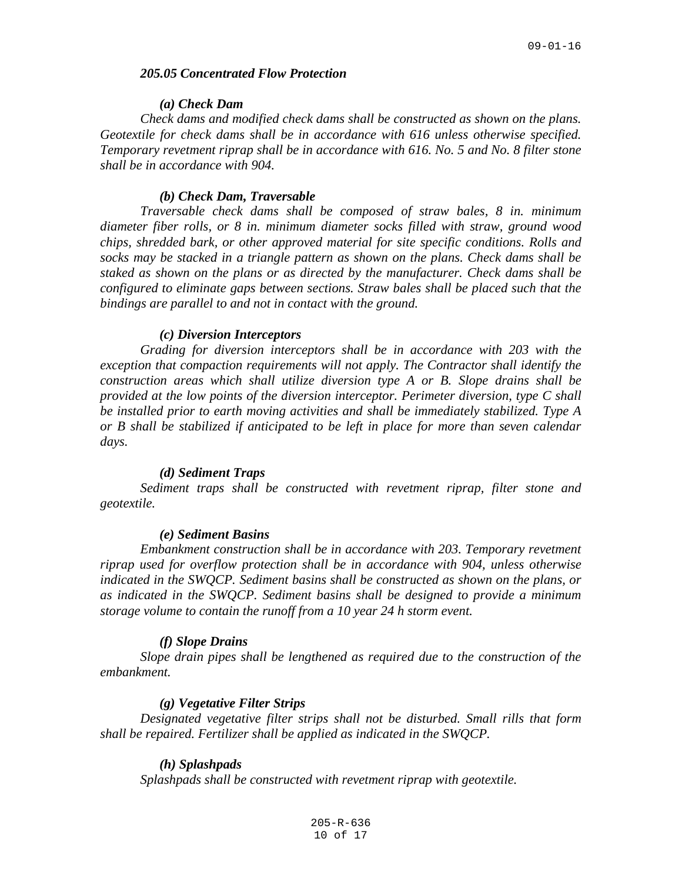## *205.05 Concentrated Flow Protection*

# *(a) Check Dam*

*Check dams and modified check dams shall be constructed as shown on the plans. Geotextile for check dams shall be in accordance with 616 unless otherwise specified. Temporary revetment riprap shall be in accordance with 616. No. 5 and No. 8 filter stone shall be in accordance with 904.*

## *(b) Check Dam, Traversable*

*Traversable check dams shall be composed of straw bales, 8 in. minimum diameter fiber rolls, or 8 in. minimum diameter socks filled with straw, ground wood chips, shredded bark, or other approved material for site specific conditions. Rolls and socks may be stacked in a triangle pattern as shown on the plans. Check dams shall be staked as shown on the plans or as directed by the manufacturer. Check dams shall be configured to eliminate gaps between sections. Straw bales shall be placed such that the bindings are parallel to and not in contact with the ground.*

## *(c) Diversion Interceptors*

*Grading for diversion interceptors shall be in accordance with 203 with the exception that compaction requirements will not apply. The Contractor shall identify the construction areas which shall utilize diversion type A or B. Slope drains shall be provided at the low points of the diversion interceptor. Perimeter diversion, type C shall be installed prior to earth moving activities and shall be immediately stabilized. Type A or B shall be stabilized if anticipated to be left in place for more than seven calendar days.*

## *(d) Sediment Traps*

*Sediment traps shall be constructed with revetment riprap, filter stone and geotextile.*

#### *(e) Sediment Basins*

*Embankment construction shall be in accordance with 203. Temporary revetment riprap used for overflow protection shall be in accordance with 904, unless otherwise indicated in the SWQCP. Sediment basins shall be constructed as shown on the plans, or as indicated in the SWQCP. Sediment basins shall be designed to provide a minimum storage volume to contain the runoff from a 10 year 24 h storm event.*

## *(f) Slope Drains*

*Slope drain pipes shall be lengthened as required due to the construction of the embankment.*

#### *(g) Vegetative Filter Strips*

*Designated vegetative filter strips shall not be disturbed. Small rills that form shall be repaired. Fertilizer shall be applied as indicated in the SWQCP.*

# *(h) Splashpads*

*Splashpads shall be constructed with revetment riprap with geotextile.*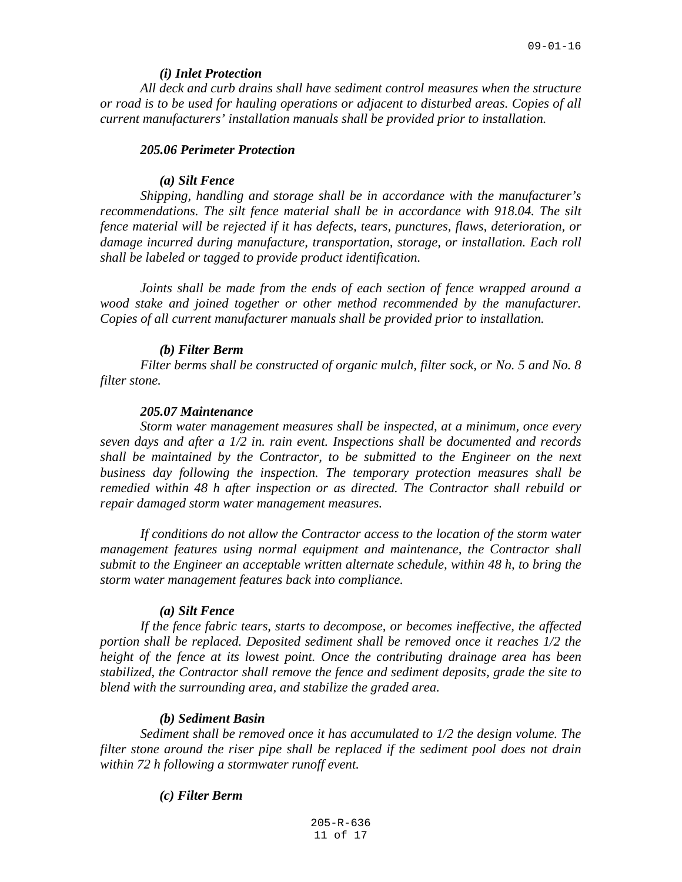#### *(i) Inlet Protection*

*All deck and curb drains shall have sediment control measures when the structure or road is to be used for hauling operations or adjacent to disturbed areas. Copies of all current manufacturers' installation manuals shall be provided prior to installation.*

#### *205.06 Perimeter Protection*

#### *(a) Silt Fence*

*Shipping, handling and storage shall be in accordance with the manufacturer's*  recommendations. The silt fence material shall be in accordance with 918.04. The silt *fence material will be rejected if it has defects, tears, punctures, flaws, deterioration, or damage incurred during manufacture, transportation, storage, or installation. Each roll shall be labeled or tagged to provide product identification.*

*Joints shall be made from the ends of each section of fence wrapped around a wood stake and joined together or other method recommended by the manufacturer. Copies of all current manufacturer manuals shall be provided prior to installation.*

#### *(b) Filter Berm*

*Filter berms shall be constructed of organic mulch, filter sock, or No. 5 and No. 8 filter stone.*

# *205.07 Maintenance*

*Storm water management measures shall be inspected, at a minimum, once every seven days and after a 1/2 in. rain event. Inspections shall be documented and records shall be maintained by the Contractor, to be submitted to the Engineer on the next business day following the inspection. The temporary protection measures shall be remedied within 48 h after inspection or as directed. The Contractor shall rebuild or repair damaged storm water management measures.*

*If conditions do not allow the Contractor access to the location of the storm water management features using normal equipment and maintenance, the Contractor shall submit to the Engineer an acceptable written alternate schedule, within 48 h, to bring the storm water management features back into compliance.*

#### *(a) Silt Fence*

*If the fence fabric tears, starts to decompose, or becomes ineffective, the affected portion shall be replaced. Deposited sediment shall be removed once it reaches 1/2 the height of the fence at its lowest point. Once the contributing drainage area has been stabilized, the Contractor shall remove the fence and sediment deposits, grade the site to blend with the surrounding area, and stabilize the graded area.*

# *(b) Sediment Basin*

*Sediment shall be removed once it has accumulated to 1/2 the design volume. The filter stone around the riser pipe shall be replaced if the sediment pool does not drain within 72 h following a stormwater runoff event.*

# *(c) Filter Berm*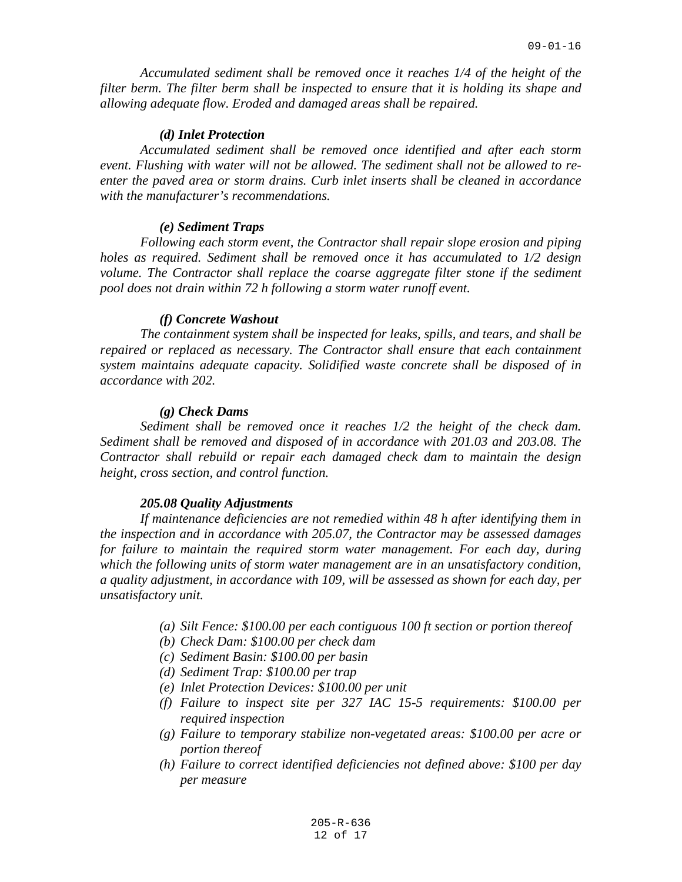*Accumulated sediment shall be removed once it reaches 1/4 of the height of the filter berm. The filter berm shall be inspected to ensure that it is holding its shape and allowing adequate flow. Eroded and damaged areas shall be repaired.*

### *(d) Inlet Protection*

*Accumulated sediment shall be removed once identified and after each storm event. Flushing with water will not be allowed. The sediment shall not be allowed to reenter the paved area or storm drains. Curb inlet inserts shall be cleaned in accordance with the manufacturer's recommendations.*

### *(e) Sediment Traps*

*Following each storm event, the Contractor shall repair slope erosion and piping holes as required. Sediment shall be removed once it has accumulated to 1/2 design volume. The Contractor shall replace the coarse aggregate filter stone if the sediment pool does not drain within 72 h following a storm water runoff event.*

## *(f) Concrete Washout*

*The containment system shall be inspected for leaks, spills, and tears, and shall be repaired or replaced as necessary. The Contractor shall ensure that each containment system maintains adequate capacity. Solidified waste concrete shall be disposed of in accordance with 202.*

#### *(g) Check Dams*

*Sediment shall be removed once it reaches 1/2 the height of the check dam. Sediment shall be removed and disposed of in accordance with 201.03 and 203.08. The Contractor shall rebuild or repair each damaged check dam to maintain the design height, cross section, and control function.*

## *205.08 Quality Adjustments*

*If maintenance deficiencies are not remedied within 48 h after identifying them in the inspection and in accordance with 205.07, the Contractor may be assessed damages for failure to maintain the required storm water management. For each day, during which the following units of storm water management are in an unsatisfactory condition, a quality adjustment, in accordance with 109, will be assessed as shown for each day, per unsatisfactory unit.*

- *(a) Silt Fence: \$100.00 per each contiguous 100 ft section or portion thereof*
- *(b) Check Dam: \$100.00 per check dam*
- *(c) Sediment Basin: \$100.00 per basin*
- *(d) Sediment Trap: \$100.00 per trap*
- *(e) Inlet Protection Devices: \$100.00 per unit*
- *(f) Failure to inspect site per 327 IAC 15-5 requirements: \$100.00 per required inspection*
- *(g) Failure to temporary stabilize non-vegetated areas: \$100.00 per acre or portion thereof*
- *(h) Failure to correct identified deficiencies not defined above: \$100 per day per measure*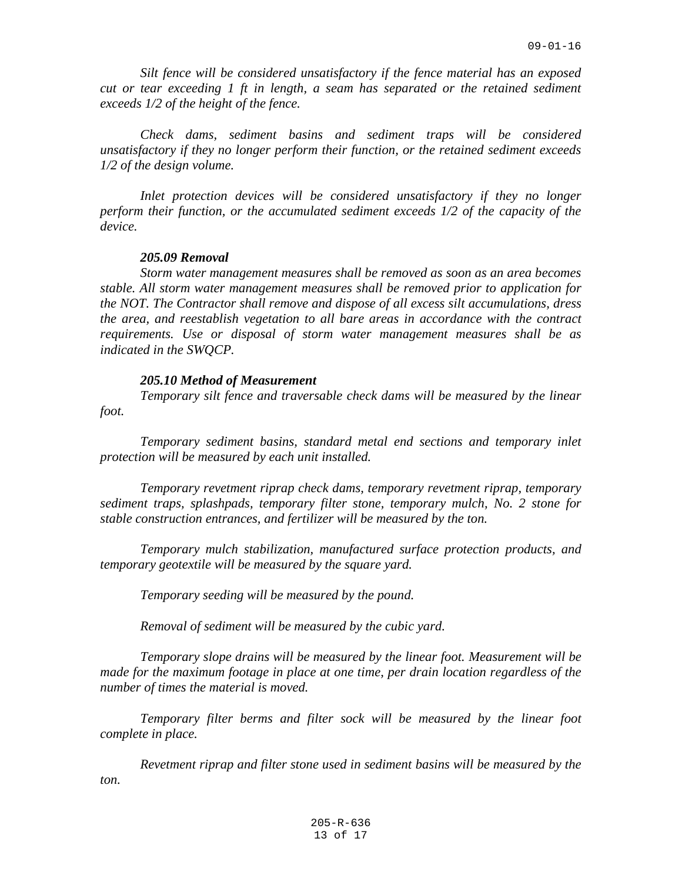*Silt fence will be considered unsatisfactory if the fence material has an exposed cut or tear exceeding 1 ft in length, a seam has separated or the retained sediment exceeds 1/2 of the height of the fence.*

*Check dams, sediment basins and sediment traps will be considered unsatisfactory if they no longer perform their function, or the retained sediment exceeds 1/2 of the design volume.*

*Inlet protection devices will be considered unsatisfactory if they no longer perform their function, or the accumulated sediment exceeds 1/2 of the capacity of the device.*

# *205.09 Removal*

*Storm water management measures shall be removed as soon as an area becomes stable. All storm water management measures shall be removed prior to application for the NOT. The Contractor shall remove and dispose of all excess silt accumulations, dress the area, and reestablish vegetation to all bare areas in accordance with the contract requirements. Use or disposal of storm water management measures shall be as indicated in the SWQCP.*

### *205.10 Method of Measurement*

*Temporary silt fence and traversable check dams will be measured by the linear* 

*foot.*

*Temporary sediment basins, standard metal end sections and temporary inlet protection will be measured by each unit installed.*

*Temporary revetment riprap check dams, temporary revetment riprap, temporary sediment traps, splashpads, temporary filter stone, temporary mulch, No. 2 stone for stable construction entrances, and fertilizer will be measured by the ton.*

*Temporary mulch stabilization, manufactured surface protection products, and temporary geotextile will be measured by the square yard.*

*Temporary seeding will be measured by the pound.*

*Removal of sediment will be measured by the cubic yard.*

*Temporary slope drains will be measured by the linear foot. Measurement will be made for the maximum footage in place at one time, per drain location regardless of the number of times the material is moved.*

*Temporary filter berms and filter sock will be measured by the linear foot complete in place.*

*Revetment riprap and filter stone used in sediment basins will be measured by the ton.*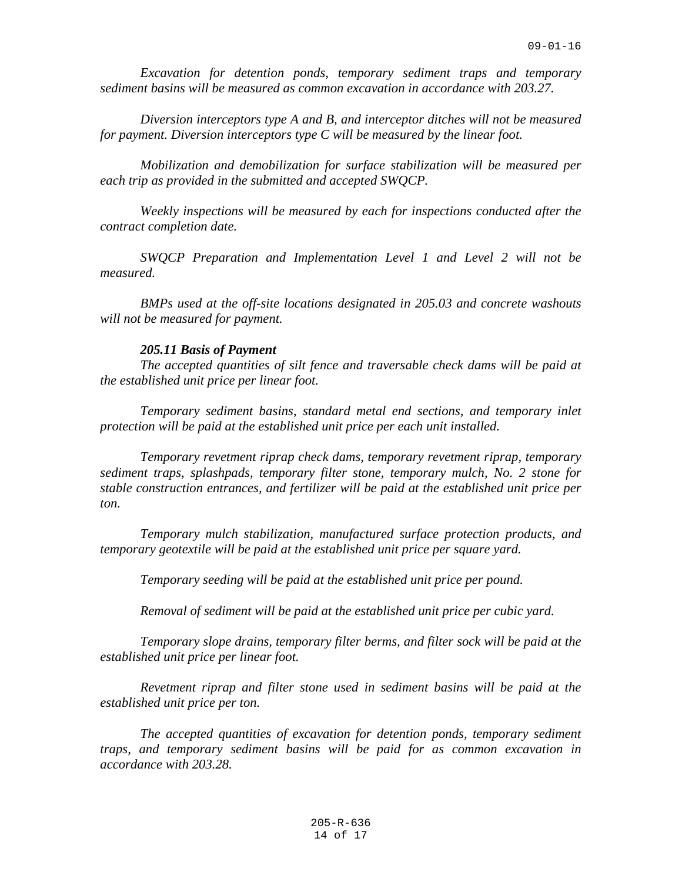*Excavation for detention ponds, temporary sediment traps and temporary sediment basins will be measured as common excavation in accordance with 203.27.*

*Diversion interceptors type A and B, and interceptor ditches will not be measured for payment. Diversion interceptors type C will be measured by the linear foot.*

*Mobilization and demobilization for surface stabilization will be measured per each trip as provided in the submitted and accepted SWQCP.*

*Weekly inspections will be measured by each for inspections conducted after the contract completion date.*

*SWQCP Preparation and Implementation Level 1 and Level 2 will not be measured.*

*BMPs used at the off-site locations designated in 205.03 and concrete washouts will not be measured for payment.*

### *205.11 Basis of Payment*

*The accepted quantities of silt fence and traversable check dams will be paid at the established unit price per linear foot.*

*Temporary sediment basins, standard metal end sections, and temporary inlet protection will be paid at the established unit price per each unit installed.*

*Temporary revetment riprap check dams, temporary revetment riprap, temporary sediment traps, splashpads, temporary filter stone, temporary mulch, No. 2 stone for stable construction entrances, and fertilizer will be paid at the established unit price per ton.*

*Temporary mulch stabilization, manufactured surface protection products, and temporary geotextile will be paid at the established unit price per square yard.*

*Temporary seeding will be paid at the established unit price per pound.*

*Removal of sediment will be paid at the established unit price per cubic yard.*

*Temporary slope drains, temporary filter berms, and filter sock will be paid at the established unit price per linear foot.*

*Revetment riprap and filter stone used in sediment basins will be paid at the established unit price per ton.*

*The accepted quantities of excavation for detention ponds, temporary sediment traps, and temporary sediment basins will be paid for as common excavation in accordance with 203.28.*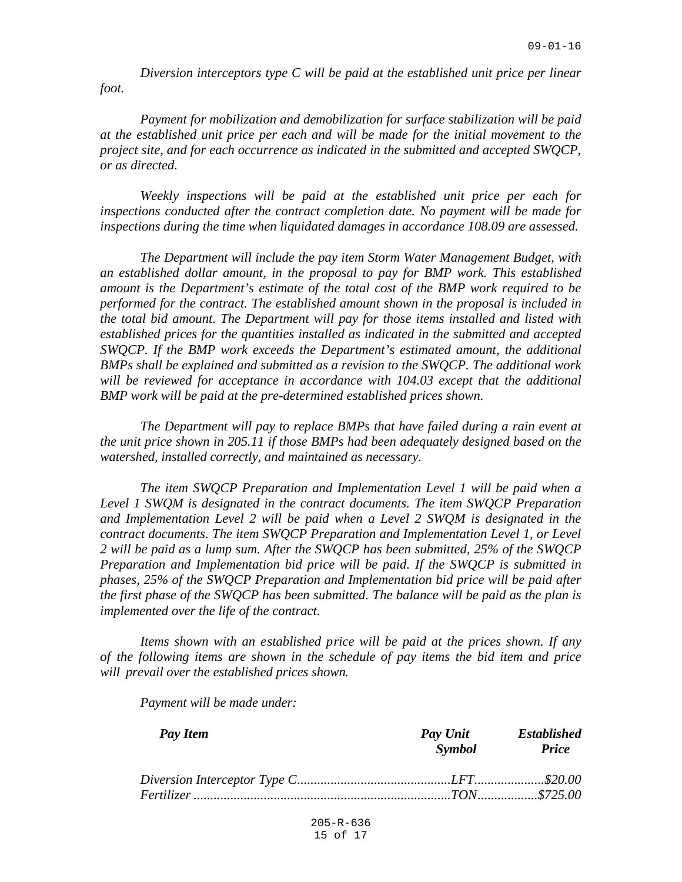*Diversion interceptors type C will be paid at the established unit price per linear foot.*

*Payment for mobilization and demobilization for surface stabilization will be paid at the established unit price per each and will be made for the initial movement to the project site, and for each occurrence as indicated in the submitted and accepted SWQCP, or as directed.*

*Weekly inspections will be paid at the established unit price per each for inspections conducted after the contract completion date. No payment will be made for inspections during the time when liquidated damages in accordance 108.09 are assessed.*

*The Department will include the pay item Storm Water Management Budget, with an established dollar amount, in the proposal to pay for BMP work. This established amount is the Department's estimate of the total cost of the BMP work required to be performed for the contract. The established amount shown in the proposal is included in the total bid amount. The Department will pay for those items installed and listed with established prices for the quantities installed as indicated in the submitted and accepted SWQCP. If the BMP work exceeds the Department's estimated amount, the additional BMPs shall be explained and submitted as a revision to the SWQCP. The additional work*  will be reviewed for acceptance in accordance with 104.03 except that the additional *BMP work will be paid at the pre-determined established prices shown.*

*The Department will pay to replace BMPs that have failed during a rain event at the unit price shown in 205.11 if those BMPs had been adequately designed based on the watershed, installed correctly, and maintained as necessary.*

*The item SWQCP Preparation and Implementation Level 1 will be paid when a Level 1 SWQM is designated in the contract documents. The item SWQCP Preparation*  and Implementation Level 2 will be paid when a Level 2 SWQM is designated in the *contract documents. The item SWQCP Preparation and Implementation Level 1, or Level 2 will be paid as a lump sum. After the SWQCP has been submitted, 25% of the SWQCP Preparation and Implementation bid price will be paid. If the SWQCP is submitted in phases, 25% of the SWQCP Preparation and Implementation bid price will be paid after the first phase of the SWQCP has been submitted. The balance will be paid as the plan is implemented over the life of the contract.*

*Items shown with an established price will be paid at the prices shown. If any of the following items are shown in the schedule of pay items the bid item and price will prevail over the established prices shown.*

*Payment will be made under:*

| Pay Item | Pay Unit<br>Symbol | <b>Established</b><br><b>Price</b> |
|----------|--------------------|------------------------------------|
|          |                    |                                    |
|          |                    |                                    |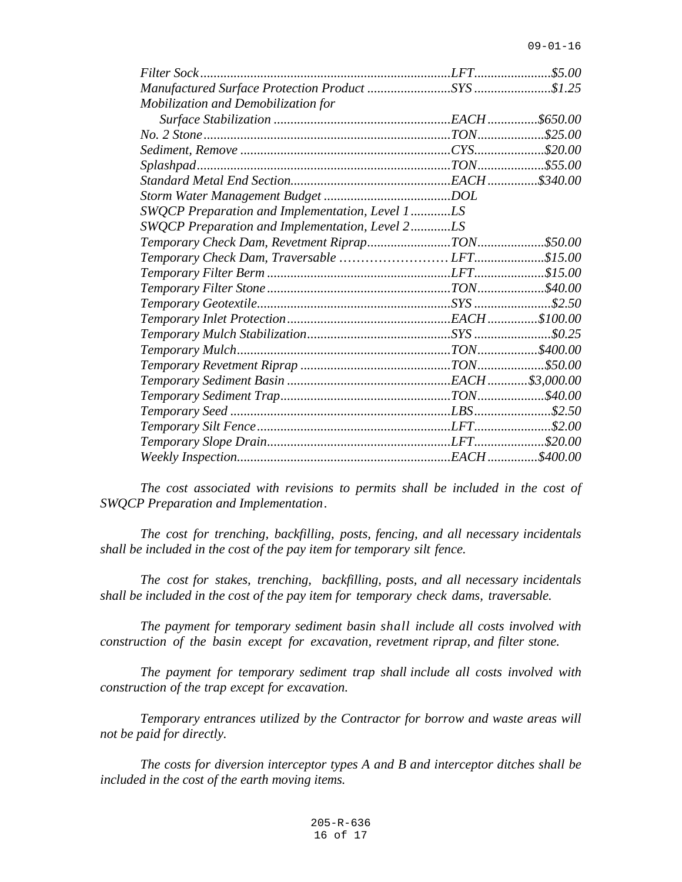| Filter Sock                                     |  |
|-------------------------------------------------|--|
|                                                 |  |
| Mobilization and Demobilization for             |  |
|                                                 |  |
|                                                 |  |
|                                                 |  |
|                                                 |  |
|                                                 |  |
|                                                 |  |
| SWQCP Preparation and Implementation, Level 1LS |  |
| SWQCP Preparation and Implementation, Level 2LS |  |
|                                                 |  |
|                                                 |  |
|                                                 |  |
|                                                 |  |
|                                                 |  |
|                                                 |  |
|                                                 |  |
|                                                 |  |
|                                                 |  |
|                                                 |  |
|                                                 |  |
|                                                 |  |
|                                                 |  |
|                                                 |  |
|                                                 |  |
|                                                 |  |

*The cost associated with revisions to permits shall be included in the cost of SWQCP Preparation and Implementation.*

*The cost for trenching, backfilling, posts, fencing, and all necessary incidentals shall be included in the cost of the pay item for temporary silt fence.*

*The cost for stakes, trenching, backfilling, posts, and all necessary incidentals shall be included in the cost of the pay item for temporary check dams, traversable.*

*The payment for temporary sediment basin shall include all costs involved with construction of the basin except for excavation, revetment riprap, and filter stone.*

*The payment for temporary sediment trap shall include all costs involved with construction of the trap except for excavation.*

*Temporary entrances utilized by the Contractor for borrow and waste areas will not be paid for directly.*

*The costs for diversion interceptor types A and B and interceptor ditches shall be included in the cost of the earth moving items.*